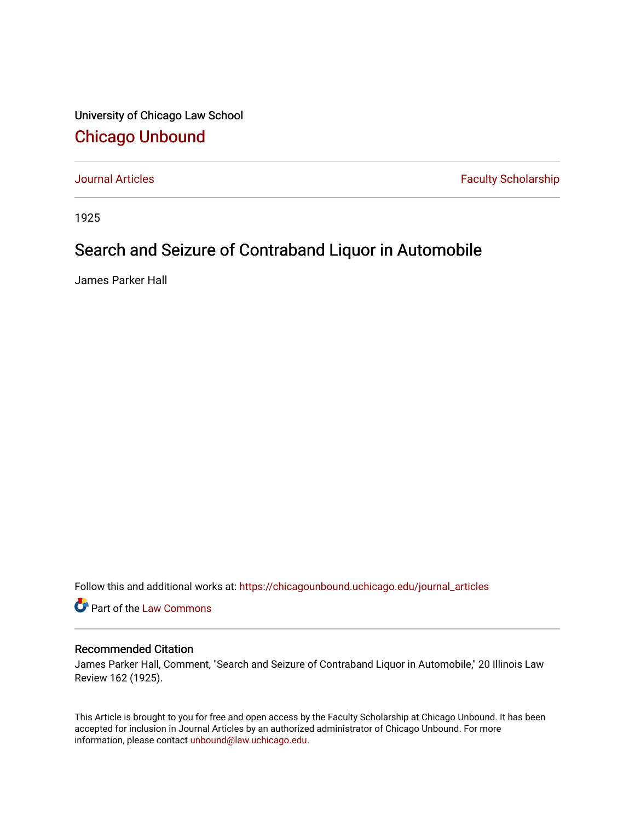University of Chicago Law School [Chicago Unbound](https://chicagounbound.uchicago.edu/)

[Journal Articles](https://chicagounbound.uchicago.edu/journal_articles) **Faculty Scholarship Faculty Scholarship** 

1925

## Search and Seizure of Contraband Liquor in Automobile

James Parker Hall

Follow this and additional works at: [https://chicagounbound.uchicago.edu/journal\\_articles](https://chicagounbound.uchicago.edu/journal_articles?utm_source=chicagounbound.uchicago.edu%2Fjournal_articles%2F9367&utm_medium=PDF&utm_campaign=PDFCoverPages) 

Part of the [Law Commons](http://network.bepress.com/hgg/discipline/578?utm_source=chicagounbound.uchicago.edu%2Fjournal_articles%2F9367&utm_medium=PDF&utm_campaign=PDFCoverPages)

## Recommended Citation

James Parker Hall, Comment, "Search and Seizure of Contraband Liquor in Automobile," 20 Illinois Law Review 162 (1925).

This Article is brought to you for free and open access by the Faculty Scholarship at Chicago Unbound. It has been accepted for inclusion in Journal Articles by an authorized administrator of Chicago Unbound. For more information, please contact [unbound@law.uchicago.edu](mailto:unbound@law.uchicago.edu).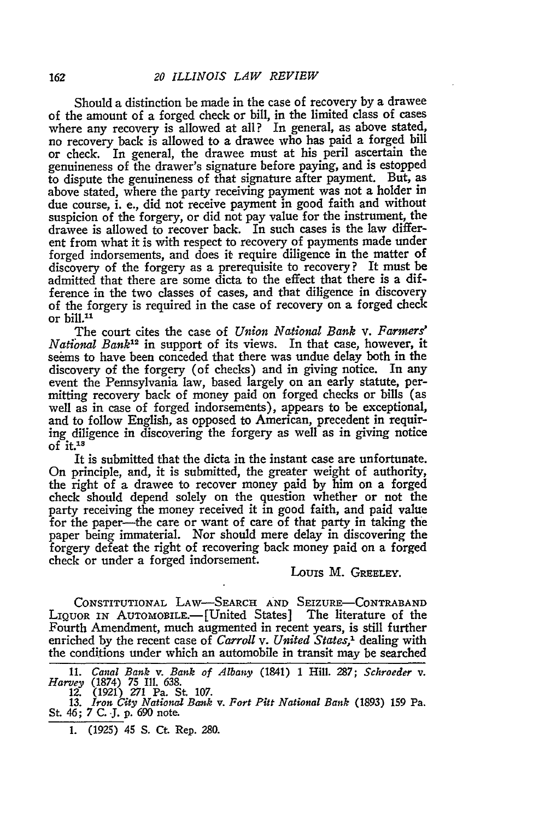Should a distinction be made in the case of recovery by a drawee of the amount of a forged check or bill, in the limited class of cases where any recovery is allowed at all? In general, as above stated, no recovery back is allowed to a drawee who has paid a forged bill or check. In general, the drawee must at his peril ascertain the genuineness of the drawer's signature before paying, and is estopped to dispute the genuineness of that signature after payment. But, as above stated, where the party receiving payment was not a holder in due course, i. e., did not receive payment in good faith and without suspicion of the forgery, or did not pay value for the instrument, the drawee is allowed to recover back. In such cases is the law different from what it is with respect to recovery of payments made under forged indorsements, and does it require diligence in the matter of discovery of the forgery as a prerequisite to recovery? It must be admitted that there are some dicta to the effect that there is a difference in the two classes of cases, and that diligence in discovery of the forgery is required in the case of recovery on a forged check or bill.11

The court cites the case of *Union National Bank v. Farmers' National Bank<sup>12</sup>* in support of its views. In that case, however, it seems to have been conceded that there was undue delay both in the discovery of the forgery (of checks) and in giving notice. In any event the Pennsylvania law, based largely on an early statute, permitting recovery back of money paid on forged checks or bills (as well as in case of forged indorsements), appears to be exceptional, and to follow English, as opposed to American, precedent in requiring diligence in discovering the forgery as well as in giving notice **of** it.'3

It is submitted that the dicta in the instant case are unfortunate. On principle, and, it is submitted, the greater weight of authority, the right of a drawee to recover money paid **by** him on a forged check should depend solely on the question whether or not the party receiving the money received it in good faith, and paid value for the paper--the care or want of care of that party in taking the paper being immaterial. Nor should mere delay in discovering the forgery defeat the right of recovering back money paid on a forged check or under a forged indorsement.

LOUIS M. GREELEY.

CONSTITUTIONAL LAW-SEARCH AND SEIZURE-CONTRABAND LIQUOR IN AUTOMOBILE.- [United States] The literature of the Fourth Amendment, much augmented in recent years, is still further enriched by the recent case of *Carroll v. United States,'* dealing with the conditions under which an automobile in transit may be searched

**<sup>11.</sup>** *Canal Bank v. Bank of Albany* (1841) 1 Hill. 287; *Schroeder v. Harvey* (1874) 75 Ill. 638.

*<sup>12.</sup>* (1921) *<sup>271</sup>*Pa. St 107. *13. Iron City National B nk v. Fort Pitt National Bank* (1893) **159** Pa. St. 46; 7 C. J. p. 690 note.

**<sup>1.</sup>** (1925) 45 S. Ct. Rep. 280.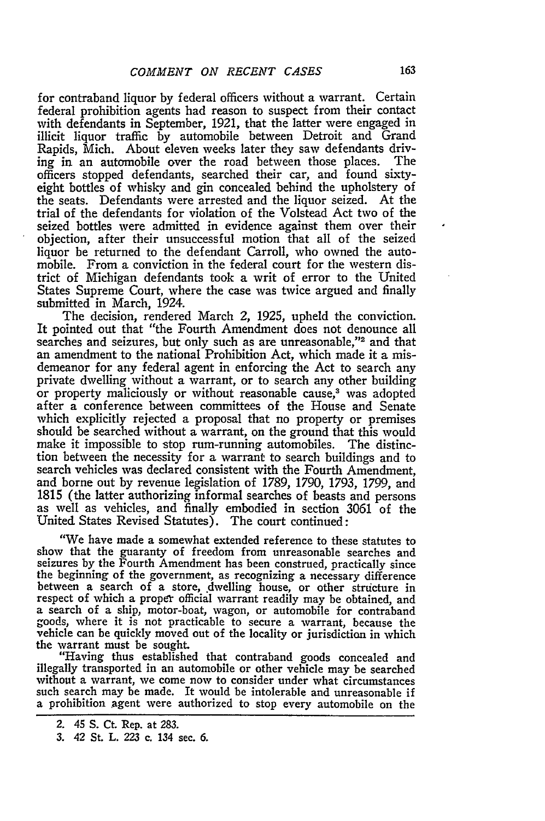for contraband liquor by federal officers without a warrant. Certain federal prohibition agents had reason to suspect from their contact with defendants in September, 1921, that the latter were engaged in illicit liquor traffic by automobile between Detroit and Grand Rapids, Mich. About eleven weeks later they saw defendants driving in an automobile over the road between those places. The officers stopped defendants, searched their car, and found sixtyeight bottles of whisky and gin concealed behind the upholstery of the seats. Defendants were arrested and the liquor seized. At the trial of the defendants for violation of the Volstead Act two of the seized bottles were admitted in evidence against them over their objection, after their unsuccessful motion that all of the seized liquor be returned to the defendant Carroll, who owned the automobile. From a conviction in the federal court for the western district of Michigan defendants took a writ of error to the United States Supreme Court, where the case was twice argued and finally submitted in March, 1924.

The decision, rendered March 2, 1925, upheld the conviction. It pointed out that "the Fourth Amendment does not denounce all searches and seizures, but only such as are unreasonable,"<sup>2</sup> and that an amendment to the national Prohibition Act, which made it a misdemeanor for any federal agent in enforcing the Act to search any private dwelling without a warrant, or to search any other building or property maliciously or without reasonable cause,<sup>3</sup> was adopted after a conference between committees of the House and Senate which explicitly rejected a proposal that no property or premises should be searched without a warrant, on the ground that this would make it impossible to stop rum-running automobiles. The distinction between the necessity for a warrant to search buildings and to search vehicles was declared consistent with the Fourth Amendment, and borne out by revenue legislation of 1789, 1790, 1793, 1799, and 1815 (the latter authorizing informal searches of beasts and persons as well as vehicles, and finally embodied in section 3061 of the United States Revised Statutes). The court continued:

"We have made a somewhat extended reference to these statutes to show that the guaranty of freedom from unreasonable searches and seizures by the Fourth Amendment has been construed, practically since the beginning of the government, as recognizing a necessary difference between a search of a store, dwelling house, or other structure in respect of which a proper official warrant readily may be obtained, and a search of a ship, motor-boat, wagon, or automobile for contraband goods, where it is not practicable to secure a warrant, because the vehicle can be quickly moved out of the locality or jurisdiction in which the warrant must be sought. "Having thus established that contraband goods concealed and

illegally transported in an automobile or other vehicle may be searched without a warrant, we come now to consider under what circumstances such search may be made. It would be intolerable and unreasonable if a prohibition agent were authorized to stop every automobile on the

*<sup>2.</sup>* 45 S. Ct. Rep. at 283.

<sup>3. 42</sup> St. L. 223 c. 134 sec. 6.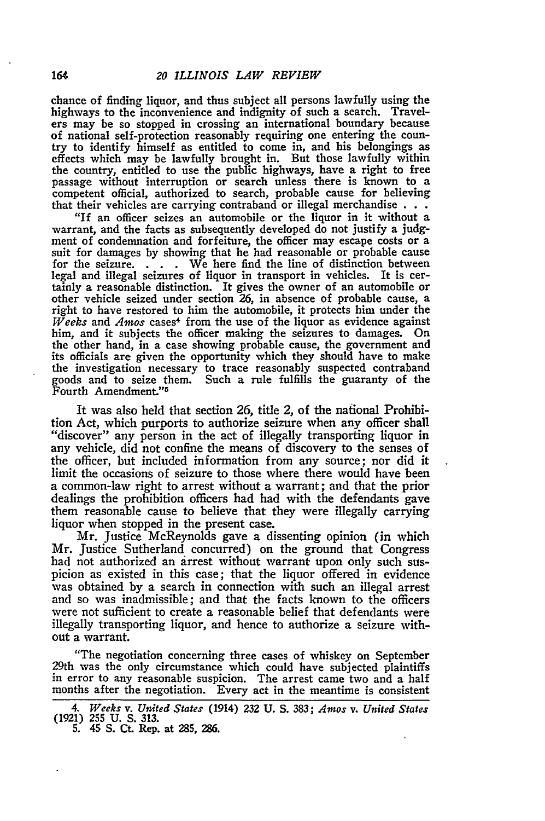chance of finding liquor, and thus subject all persons lawfully using the highways to the inconvenience and indignity of such a search. Travelers may be so stopped in crossing an international boundary because of national self-protection reasonably requiring one entering the country to identify himself as entitled to come in, and his belongings as effects which may be lawfully brought in. But those lawfully within the country, entitled to use the public highways, have a right to free passage without interruption or search unless there is known to a competent official, authorized to search, probable cause for believing that their vehicles are carrying contraband or illegal merchandise **. . .**

"If an officer seizes an automobile or the liquor in it without a warrant, and the facts as subsequently developed do not justify a **judg**ment of condemnation and forfeiture, the officer may escape costs or a suit for damages **by** showing that he had reasonable or probable cause for the seizure.. **. .** We here find the line of distinction between legal and illegal seizures of liquor in transport in vehicles. It is certainly a reasonable distinction. It gives the owner of an automobile or other vehicle seized under section 26, in absence of probable cause, a right t  $\dot{W}$ eeks and *Amos* cases<sup>4</sup> from the use of the liquor as evidence against him, and it subjects the officer making the seizures to damages. On the other hand, in a case showing probable cause, the government and its officials are given the opportunity which they should have to make the investigation necessary to trace reasonably suspected contraband goods and to seize them. Such a rule fulfills the guaranty of the Fourth Amendment."<sup>5</sup>

It was also held that section **26,** title 2, of the national Prohibition Act, which purports to authorize seizure when any officer shall "discover" any person in the act of illegally transporting liquor in any vehicle, did not confine the means of discovery to the senses of the officer, but included information from any source; nor did it limit the occasions of seizure to those where there would have been a common-law right to arrest without a warrant; and that the prior dealings the prohibition officers had had with the defendants gave them reasonable cause to believe that they were illegally carrying liquor when stopped in the present case.

Mr. Justice McReynolds gave a dissenting opinion (in which Mr. Justice Sutherland concurred) on the ground that Congress had not authorized an arrest without warrant upon only such suspicion as existed in this case; that the liquor offered in evidence was obtained **by** a search in connection with such an illegal arrest and so was inadmissible; and that the facts known to the officers were not sufficient to create a reasonable belief that defendants were illegally transporting liquor, and hence to authorize a seizure without a warrant.

"The negotiation concerning three cases of whiskey on September 29th was the only circumstance which could have subjected plaintiffs in error to any reasonable suspicion. The arrest came two and a half months after the negotiation. Every act in the meantime is consistent

*<sup>4.</sup> Weeks v. United States* (1914) **232 U. S. 383;** *Amos v. United States* **(1921) 255 U. S. 313. 5.** 45 **S.** Ct. Rep. at **285, 286.**